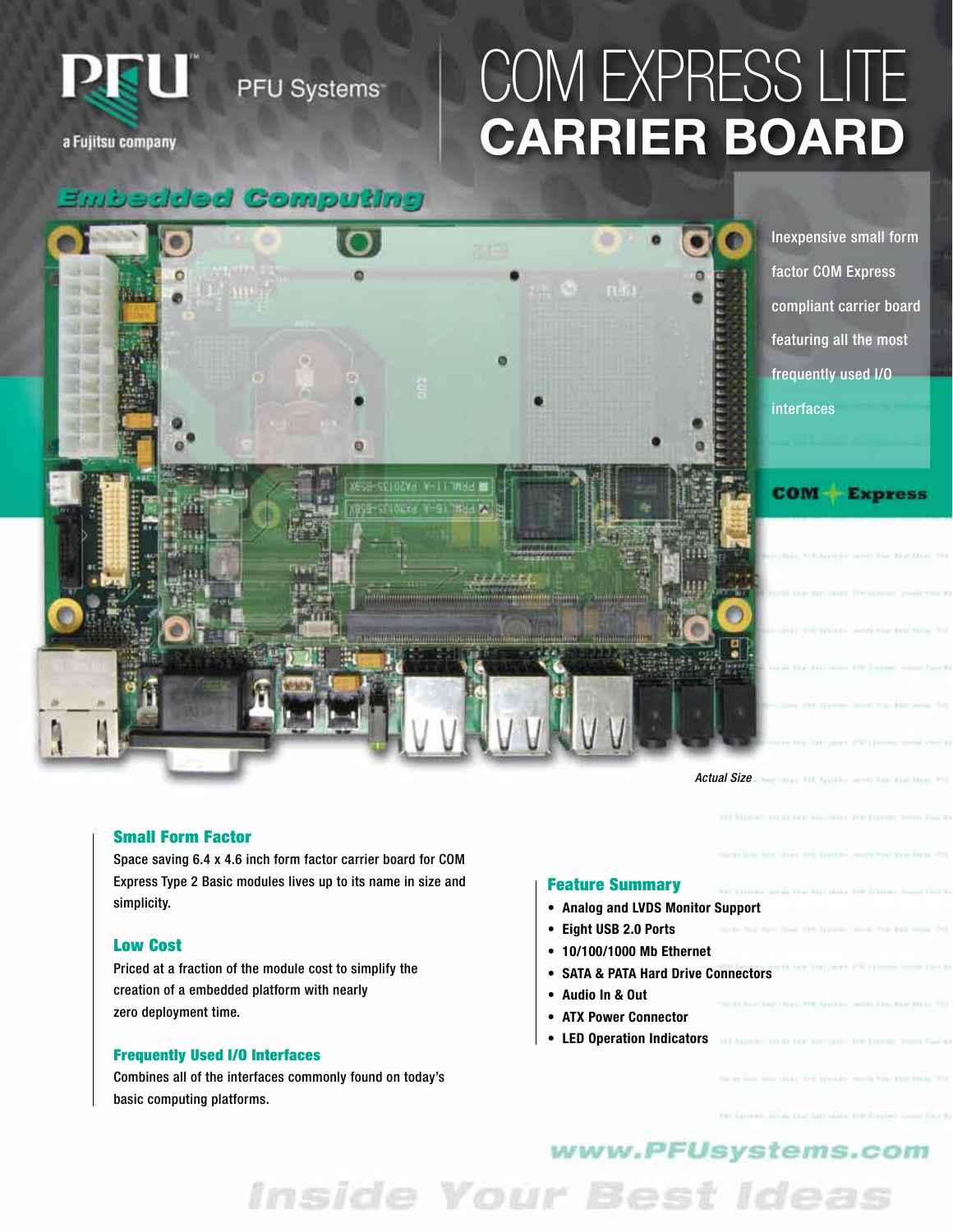

# COM EXPRESS LITE CARRIER BOARD

# Embedded Computing



### Small Form Factor

Space saving 6.4 x 4.6 inch form factor carrier board for COM Express Type 2 Basic modules lives up to its name in size and simplicity.

### Low Cost

Priced at a fraction of the module cost to simplify the creation of a embedded platform with nearly zero deployment time.

#### Frequently Used I/O Interfaces

Combines all of the interfaces commonly found on today's basic computing platforms.

### Feature Summary

- Analog and LVDS Monitor Support
- Eight USB 2.0 Ports
- 10/100/1000 Mb Ethernet
- SATA & PATA Hard Drive Connectors
- Audio In & Out
- ATX Power Connector
- LED Operation Indicators

### www.PFUsystems.com

**Inside Your Best Ideas**